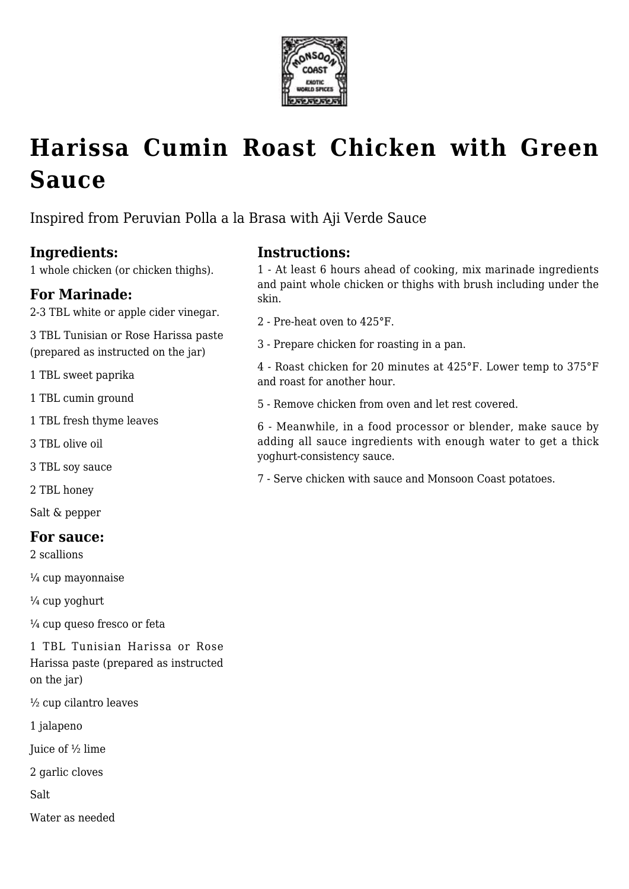

# **[Harissa Cumin Roast Chicken with Green](https://www.monsooncoast.com/recipes/harissa-cumin-roast-chicken-with-green-sauce/) [Sauce](https://www.monsooncoast.com/recipes/harissa-cumin-roast-chicken-with-green-sauce/)**

Inspired from Peruvian Polla a la Brasa with Aji Verde Sauce

# **Ingredients:**

1 whole chicken (or chicken thighs).

### **For Marinade:**

2-3 TBL white or apple cider vinegar.

3 TBL Tunisian or Rose Harissa paste (prepared as instructed on the jar)

1 TBL sweet paprika

1 TBL cumin ground

1 TBL fresh thyme leaves

3 TBL olive oil

3 TBL soy sauce

2 TBL honey

Salt & pepper

#### **For sauce:**

2 scallions

¼ cup mayonnaise

 $\frac{1}{4}$  cup yoghurt

¼ cup queso fresco or feta

1 TBL Tunisian Harissa or Rose Harissa paste (prepared as instructed on the jar)

½ cup cilantro leaves

1 jalapeno

Juice of ½ lime

2 garlic cloves

Salt

Water as needed

# **Instructions:**

1 - At least 6 hours ahead of cooking, mix marinade ingredients and paint whole chicken or thighs with brush including under the skin.

- 2 Pre-heat oven to 425°F.
- 3 Prepare chicken for roasting in a pan.

4 - Roast chicken for 20 minutes at 425°F. Lower temp to 375°F and roast for another hour.

5 - Remove chicken from oven and let rest covered.

6 - Meanwhile, in a food processor or blender, make sauce by adding all sauce ingredients with enough water to get a thick yoghurt-consistency sauce.

7 - Serve chicken with sauce and Monsoon Coast potatoes.